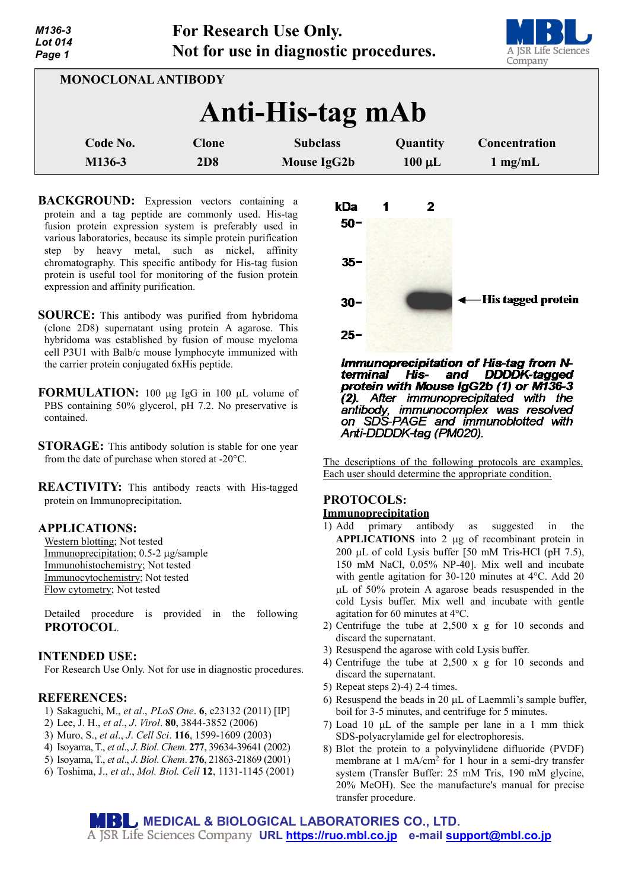*M136-3 Lot 014 Page 1*



| <b>MONOCLONAL ANTIBODY</b> |                     |                                |                         |                                    |
|----------------------------|---------------------|--------------------------------|-------------------------|------------------------------------|
| Anti-His-tag mAb           |                     |                                |                         |                                    |
| Code No.<br>M136-3         | <b>Clone</b><br>2D8 | <b>Subclass</b><br>Mouse IgG2b | Quantity<br>$100 \mu L$ | Concentration<br>$1 \text{ mg/mL}$ |
|                            |                     |                                |                         |                                    |

**BACKGROUND:** Expression vectors containing a protein and a tag peptide are commonly used. His-tag fusion protein expression system is preferably used in various laboratories, because its simple protein purification step by heavy metal, such as nickel, affinity chromatography. This specific antibody for His-tag fusion protein is useful tool for monitoring of the fusion protein expression and affinity purification.

- **SOURCE:** This antibody was purified from hybridoma (clone 2D8) supernatant using protein A agarose. This hybridoma was established by fusion of mouse myeloma cell P3U1 with Balb/c mouse lymphocyte immunized with the carrier protein conjugated 6xHis peptide.
- **FORMULATION:** 100 µg IgG in 100 µL volume of PBS containing 50% glycerol, pH 7.2. No preservative is contained.
- **STORAGE:** This antibody solution is stable for one year from the date of purchase when stored at -20°C.
- **REACTIVITY:** This antibody reacts with His-tagged protein on Immunoprecipitation.

## **APPLICATIONS:**

Western blotting; Not tested Immunoprecipitation; 0.5-2 µg/sample Immunohistochemistry; Not tested Immunocytochemistry; Not tested Flow cytometry; Not tested

Detailed procedure is provided in the following **PROTOCOL**.

## **INTENDED USE:**

For Research Use Only. Not for use in diagnostic procedures.

# **REFERENCES:**

- 1) Sakaguchi, M., *et al*., *PLoS One*. **6**, e23132 (2011) [IP]
- 2) Lee, J. H., *et al*., *J*. *Virol*. **80**, 3844-3852 (2006)
- 3) Muro, S., *et al*., *J*. *Cell Sci*. **116**, 1599-1609 (2003)
- 4) Isoyama, T., *et al*., *J*. *Biol*. *Chem*. **277**, 39634-39641 (2002)
- 5) Isoyama, T., *et al*., *J*. *Biol*. *Chem*. **276**, 21863-21869 (2001)
- 6) Toshima, J., *et al*., *Mol. Biol. Cell* **12**, 1131-1145 (2001)



Immunoprecipitation of His-tag from N-His- and terminal **DDDDK-tagged** protein with Mouse IgG2b (1) or M136-3 (2). After immunoprecipitated with the antibody, immunocomplex was resolved<br>on SDS-PAGE and immunoblotted with Anti-DDDDK-tag (PM020).

The descriptions of the following protocols are examples. Each user should determine the appropriate condition.

# **PROTOCOLS:**

#### **Immunoprecipitation**

- 1) Add primary antibody as suggested in the **APPLICATIONS** into 2 µg of recombinant protein in 200 µL of cold Lysis buffer [50 mM Tris-HCl (pH 7.5), 150 mM NaCl, 0.05% NP-40]. Mix well and incubate with gentle agitation for 30-120 minutes at 4°C. Add 20 µL of 50% protein A agarose beads resuspended in the cold Lysis buffer. Mix well and incubate with gentle agitation for 60 minutes at 4°C.
- 2) Centrifuge the tube at 2,500 x g for 10 seconds and discard the supernatant.
- 3) Resuspend the agarose with cold Lysis buffer.
- 4) Centrifuge the tube at 2,500 x g for 10 seconds and discard the supernatant.
- 5) Repeat steps 2)-4) 2-4 times.
- 6) Resuspend the beads in 20 µL of Laemmli's sample buffer, boil for 3-5 minutes, and centrifuge for 5 minutes.
- 7) Load 10 µL of the sample per lane in a 1 mm thick SDS-polyacrylamide gel for electrophoresis.
- 8) Blot the protein to a polyvinylidene difluoride (PVDF) membrane at  $1 \text{ mA/cm}^2$  for  $1 \text{ hour in a semi-dry transfer}$ system (Transfer Buffer: 25 mM Tris, 190 mM glycine, 20% MeOH). See the manufacture's manual for precise transfer procedure.